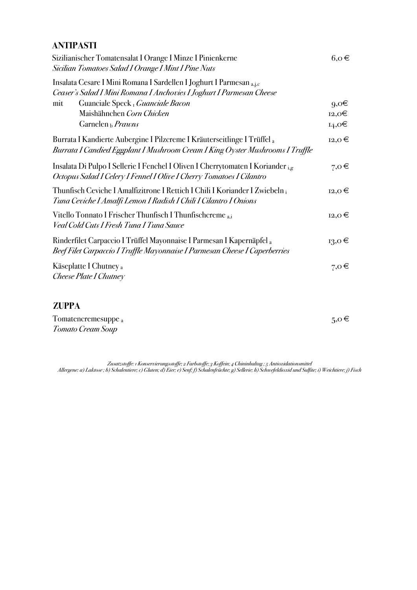## **ANTIPASTI**

| Sizilianischer Tomatensalat I Orange I Minze I Pinienkerne<br>Sicilian Tomatoes Salad I Orange I Mint I Pine Nuts                                         | $6, 0 \in$      |
|-----------------------------------------------------------------------------------------------------------------------------------------------------------|-----------------|
| Insalata Cesare I Mini Romana I Sardellen I Joghurt I Parmesan a,j,c<br>Ceaser's Salad I Mini Romana I Anchovies I Joghurt I Parmesan Cheese              |                 |
| Guanciale Speck <sub>I</sub> Guanciale Bacon<br>mit                                                                                                       | $9,0 \in$       |
| Maishähnchen Corn Chicken                                                                                                                                 | 12,0€           |
| Garnelen $_{b}$ <i>Prawns</i>                                                                                                                             | $_{14,0}$ $\in$ |
| Burrata I Kandierte Aubergine I Pilzcreme I Kräuterseitlinge I Trüffel a<br>Burrata I Candied Eggplant I Mushroom Cream I King Oyster Mushrooms I Truffle | $12,0 \in$      |
| Insalata Di Pulpo I Sellerie I Fenchel I Oliven I Cherrytomaten I Koriander ig<br>Octopus Salad I Celery I Fennel I Olive I Cherry Tomatoes I Cilantro    | $7,0 \in$       |
| Thunfisch Ceviche I Amalfizitrone I Rettich I Chili I Koriander I Zwiebeln i<br>Tuna Ceviche I Amalfi Lemon I Radish I Chili I Cilantro I Onions          | $12,0 \in$      |
| Vitello Tonnato I Frischer Thunfisch I Thunfischcreme <sub>a.i</sub><br>Veal Cold Cuts I Fresh Tuna I Tuna Sauce                                          | $12,0 \in$      |
| Rinderfilet Carpaccio I Trüffel Mayonnaise I Parmesan I Kapernäpfel a<br>Beef Filet Carpaccio I Truffle Mayonnaise I Parmesan Cheese I Caperberries       | $_{13,0}$ $\in$ |
| Käseplatte I Chutney <sub>a</sub><br>Cheese Plate I Chutney                                                                                               | $7,0 \in$       |
| <b>ZUPPA</b>                                                                                                                                              |                 |
| Tomatencremesuppe <sub>a</sub>                                                                                                                            | $5,0 \in$       |
| Tomato Cream Soup                                                                                                                                         |                 |
|                                                                                                                                                           |                 |

*Zusatzstoffe: 1 Konservierungsstoffe; 2 Farbstoffe; 3 Koffein; 4 Chininhaltug ; 5 Antioxidationsmittel Allergene: a) Laktose ; b) Schalentiere; c) Gluten; d) Eier; e) Senf; f) Schalenfrüchte; g) Sellerie; h) Schwefeldioxid und Sulfite; i) Weichtiere; j) Fisch*